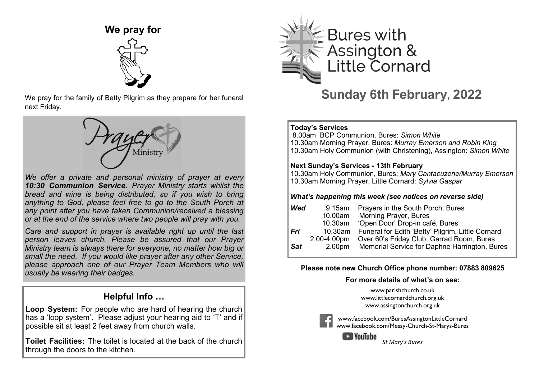

We pray for the family of Betty Pilgrim as they prepare for her funeral next Friday.



*We offer a private and personal ministry of prayer at every 10:30 Communion Service. Prayer Ministry starts whilst the bread and wine is being distributed, so if you wish to bring anything to God, please feel free to go to the South Porch at any point after you have taken Communion/received a blessing or at the end of the service where two people will pray with you.*

*Care and support in prayer is available right up until the last person leaves church. Please be assured that our Prayer Ministry team is always there for everyone, no matter how big or small the need. If you would like prayer after any other Service, please approach one of our Prayer Team Members who will usually be wearing their badges.*

## **Helpful Info …**

**Loop System:** For people who are hard of hearing the church has a 'loop system'. Please adjust your hearing aid to 'T' and if possible sit at least 2 feet away from church walls.

**Toilet Facilities:** The toilet is located at the back of the church through the doors to the kitchen.



**Sunday 6th February, 2022**

#### İ **Today's Services**

8.00am BCP Communion, Bures: *Simon White* 10.30am Morning Prayer, Bures: *Murray Emerson and Robin King* 10.30am Holy Communion (with Christening), Assington: *Simon White*

#### **Next Sunday's Services - 13th February**

10.30am Holy Communion, Bures: *Mary Cantacuzene/Murray Emerson*  10.30am Morning Prayer, Little Cornard: *Sylvia Gaspar*

#### *What's happening this week (see notices on reverse side)*

| Wed         |                    | 9.15am Prayers in the South Porch, Bures                  |
|-------------|--------------------|-----------------------------------------------------------|
|             |                    | 10.00am Morning Prayer, Bures                             |
|             | 10.30am            | 'Open Door' Drop-in café, Bures                           |
| Fri         |                    | 10.30am Funeral for Edith 'Betty' Pilgrim, Little Cornard |
|             | 2.00-4.00pm        | Over 60's Friday Club, Garrad Room, Bures                 |
| $\sf I$ Sat | 2.00 <sub>pm</sub> | Memorial Service for Daphne Harrington, Bures             |
|             |                    |                                                           |

### **Please note new Church Office phone number: 07883 809625**

### **For more details of what's on see:**

[www.parishchurch.co.uk](http://www.parishchurch.co.uk/) [www.littlecornardchurch.org.uk](http://www.littlecornardchurch.org.uk/) [www.assingtonchurch.org.uk](https://assingtonchurch.org.uk/)



[www.facebook.com/BuresAssingtonLittleCornard](https://www.facebook.com/BuresAssingtonLittleCornard) [www.facebook.com/Messy-Church-St-Marys-Bures](https://www.facebook.com/Messy-Church-St-Marys-Bures)

VouTube *St Mary's Bures*